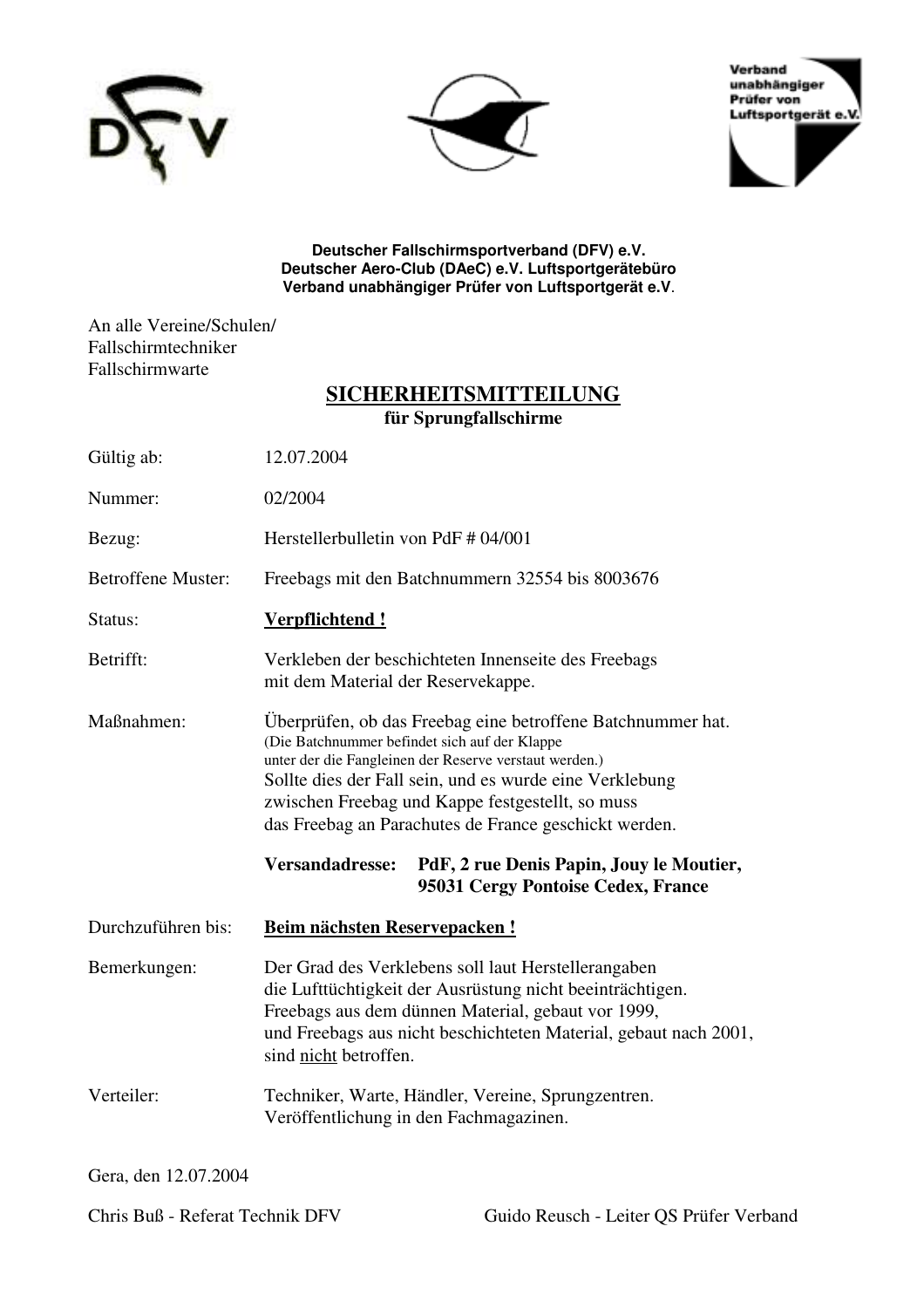





**Deutscher Fallschirmsportverband (DFV) e.V. Deutscher Aero-Club (DAeC) e.V. Luftsportgerätebüro Verband unabhängiger Prüfer von Luftsportgerät e.V**.

An alle Vereine/Schulen/ Fallschirmtechniker Fallschirmwarte

# **SICHERHEITSMITTEILUNG für Sprungfallschirme**

| Gültig ab:                | 12.07.2004                                                                                                                                                                                                                                                                                                                                                                                                                                                 |
|---------------------------|------------------------------------------------------------------------------------------------------------------------------------------------------------------------------------------------------------------------------------------------------------------------------------------------------------------------------------------------------------------------------------------------------------------------------------------------------------|
| Nummer:                   | 02/2004                                                                                                                                                                                                                                                                                                                                                                                                                                                    |
| Bezug:                    | Herstellerbulletin von PdF # 04/001                                                                                                                                                                                                                                                                                                                                                                                                                        |
| <b>Betroffene Muster:</b> | Freebags mit den Batchnummern 32554 bis 8003676                                                                                                                                                                                                                                                                                                                                                                                                            |
| Status:                   | Verpflichtend!                                                                                                                                                                                                                                                                                                                                                                                                                                             |
| Betrifft:                 | Verkleben der beschichteten Innenseite des Freebags<br>mit dem Material der Reservekappe.                                                                                                                                                                                                                                                                                                                                                                  |
| Maßnahmen:                | Überprüfen, ob das Freebag eine betroffene Batchnummer hat.<br>(Die Batchnummer befindet sich auf der Klappe<br>unter der die Fangleinen der Reserve verstaut werden.)<br>Sollte dies der Fall sein, und es wurde eine Verklebung<br>zwischen Freebag und Kappe festgestellt, so muss<br>das Freebag an Parachutes de France geschickt werden.<br><b>Versandadresse:</b><br>PdF, 2 rue Denis Papin, Jouy le Moutier,<br>95031 Cergy Pontoise Cedex, France |
| Durchzuführen bis:        | <b>Beim nächsten Reservepacken!</b>                                                                                                                                                                                                                                                                                                                                                                                                                        |
| Bemerkungen:              | Der Grad des Verklebens soll laut Herstellerangaben<br>die Lufttüchtigkeit der Ausrüstung nicht beeinträchtigen.<br>Freebags aus dem dünnen Material, gebaut vor 1999,<br>und Freebags aus nicht beschichteten Material, gebaut nach 2001,<br>sind nicht betroffen.                                                                                                                                                                                        |
| Verteiler:                | Techniker, Warte, Händler, Vereine, Sprungzentren.<br>Veröffentlichung in den Fachmagazinen.                                                                                                                                                                                                                                                                                                                                                               |

Gera, den 12.07.2004